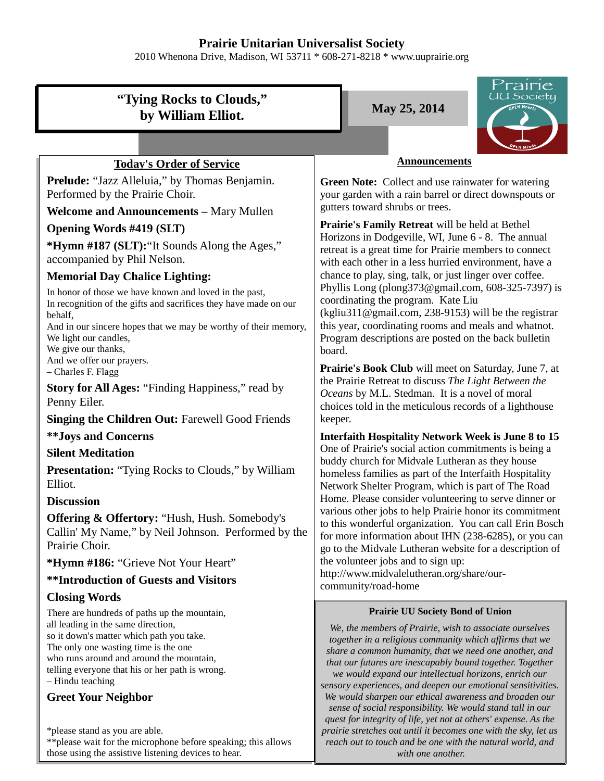# **Prairie Unitarian Universalist Society**

2010 Whenona Drive, Madison, WI 53711 \* 608-271-8218 \* www.uuprairie.org



– Hindu teaching

## **Greet Your Neighbor**

\*please stand as you are able.

\*\*please wait for the microphone before speaking; this allows those using the assistive listening devices to hear.

*we would expand our intellectual horizons, enrich our sensory experiences, and deepen our emotional sensitivities. We would sharpen our ethical awareness and broaden our sense of social responsibility. We would stand tall in our quest for integrity of life, yet not at others' expense. As the prairie stretches out until it becomes one with the sky, let us reach out to touch and be one with the natural world, and with one another.*